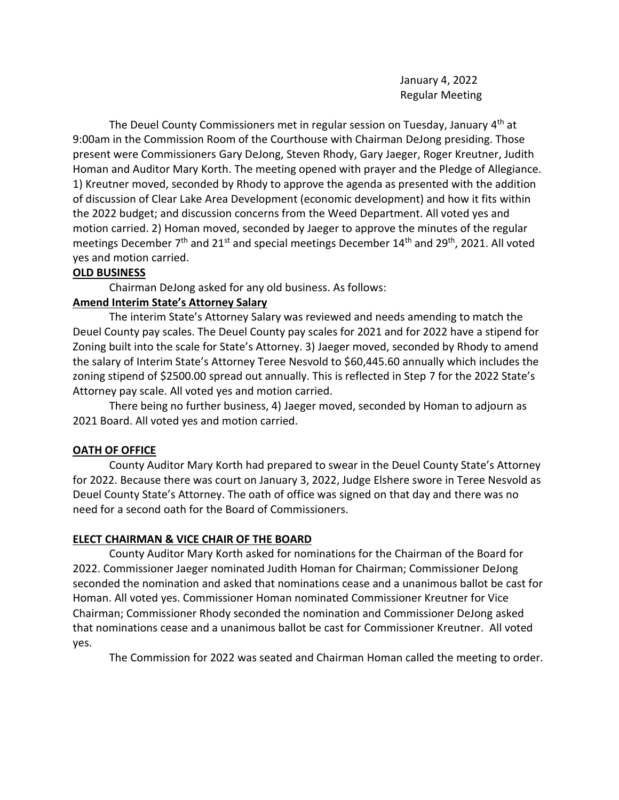January 4, 2022 Regular Meeting

The Deuel County Commissioners met in regular session on Tuesday, January 4<sup>th</sup> at 9:00am in the Commission Room of the Courthouse with Chairman DeJong presiding. Those present were Commissioners Gary DeJong, Steven Rhody, Gary Jaeger, Roger Kreutner, Judith Homan and Auditor Mary Korth. The meeting opened with prayer and the Pledge of Allegiance. 1) Kreutner moved, seconded by Rhody to approve the agenda as presented with the addition of discussion of Clear Lake Area Development (economic development) and how it fits within the 2022 budget; and discussion concerns from the Weed Department. All voted yes and motion carried. 2) Homan moved, seconded by Jaeger to approve the minutes of the regular meetings December 7<sup>th</sup> and 21<sup>st</sup> and special meetings December 14<sup>th</sup> and 29<sup>th</sup>, 2021. All voted yes and motion carried.

# **OLD BUSINESS**

Chairman DeJong asked for any old business. As follows:

# **Amend Interim State's Attorney Salary**

The interim State's Attorney Salary was reviewed and needs amending to match the Deuel County pay scales. The Deuel County pay scales for 2021 and for 2022 have a stipend for Zoning built into the scale for State's Attorney. 3) Jaeger moved, seconded by Rhody to amend the salary of Interim State's Attorney Teree Nesvold to \$60,445.60 annually which includes the zoning stipend of \$2500.00 spread out annually. This is reflected in Step 7 for the 2022 State's Attorney pay scale. All voted yes and motion carried.

There being no further business, 4) Jaeger moved, seconded by Homan to adjourn as 2021 Board. All voted yes and motion carried.

# **OATH OF OFFICE**

County Auditor Mary Korth had prepared to swear in the Deuel County State's Attorney for 2022. Because there was court on January 3, 2022, Judge Elshere swore in Teree Nesvold as Deuel County State's Attorney. The oath of office was signed on that day and there was no need for a second oath for the Board of Commissioners.

# **ELECT CHAIRMAN & VICE CHAIR OF THE BOARD**

County Auditor Mary Korth asked for nominations for the Chairman of the Board for 2022. Commissioner Jaeger nominated Judith Homan for Chairman; Commissioner DeJong seconded the nomination and asked that nominations cease and a unanimous ballot be cast for Homan. All voted yes. Commissioner Homan nominated Commissioner Kreutner for Vice Chairman; Commissioner Rhody seconded the nomination and Commissioner DeJong asked that nominations cease and a unanimous ballot be cast for Commissioner Kreutner. All voted yes.

The Commission for 2022 was seated and Chairman Homan called the meeting to order.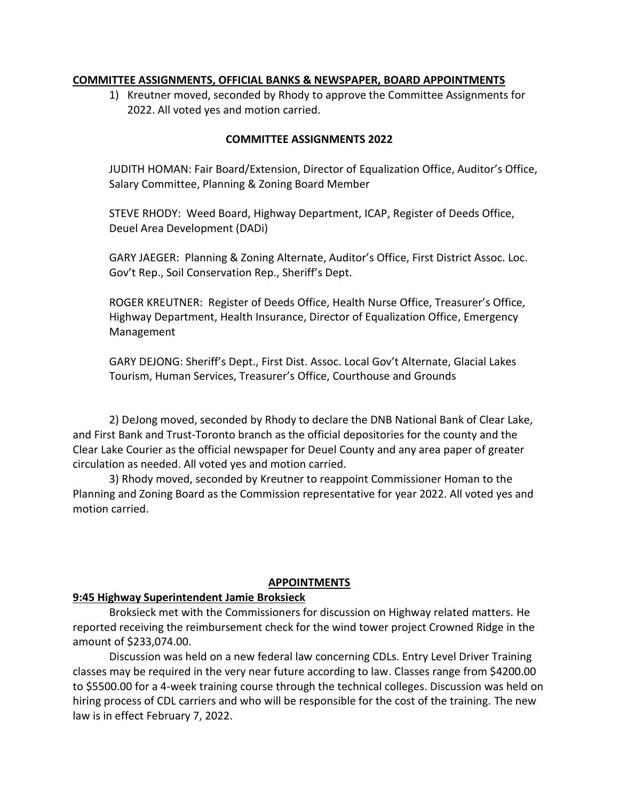#### **COMMITTEE ASSIGNMENTS, OFFICIAL BANKS & NEWSPAPER, BOARD APPOINTMENTS**

1) Kreutner moved, seconded by Rhody to approve the Committee Assignments for 2022. All voted yes and motion carried.

#### **COMMITTEE ASSIGNMENTS 2022**

JUDITH HOMAN: Fair Board/Extension, Director of Equalization Office, Auditor's Office, Salary Committee, Planning & Zoning Board Member

STEVE RHODY: Weed Board, Highway Department, ICAP, Register of Deeds Office, Deuel Area Development (DADi)

GARY JAEGER: Planning & Zoning Alternate, Auditor's Office, First District Assoc. Loc. Gov't Rep., Soil Conservation Rep., Sheriff's Dept.

ROGER KREUTNER: Register of Deeds Office, Health Nurse Office, Treasurer's Office, Highway Department, Health Insurance, Director of Equalization Office, Emergency Management

GARY DEJONG: Sheriff's Dept., First Dist. Assoc. Local Gov't Alternate, Glacial Lakes Tourism, Human Services, Treasurer's Office, Courthouse and Grounds

2) DeJong moved, seconded by Rhody to declare the DNB National Bank of Clear Lake, and First Bank and Trust-Toronto branch as the official depositories for the county and the Clear Lake Courier as the official newspaper for Deuel County and any area paper of greater circulation as needed. All voted yes and motion carried.

3) Rhody moved, seconded by Kreutner to reappoint Commissioner Homan to the Planning and Zoning Board as the Commission representative for year 2022. All voted yes and motion carried.

#### **APPOINTMENTS**

# **9:45 Highway Superintendent Jamie Broksieck**

Broksieck met with the Commissioners for discussion on Highway related matters. He reported receiving the reimbursement check for the wind tower project Crowned Ridge in the amount of \$233,074.00.

Discussion was held on a new federal law concerning CDLs. Entry Level Driver Training classes may be required in the very near future according to law. Classes range from \$4200.00 to \$5500.00 for a 4-week training course through the technical colleges. Discussion was held on hiring process of CDL carriers and who will be responsible for the cost of the training. The new law is in effect February 7, 2022.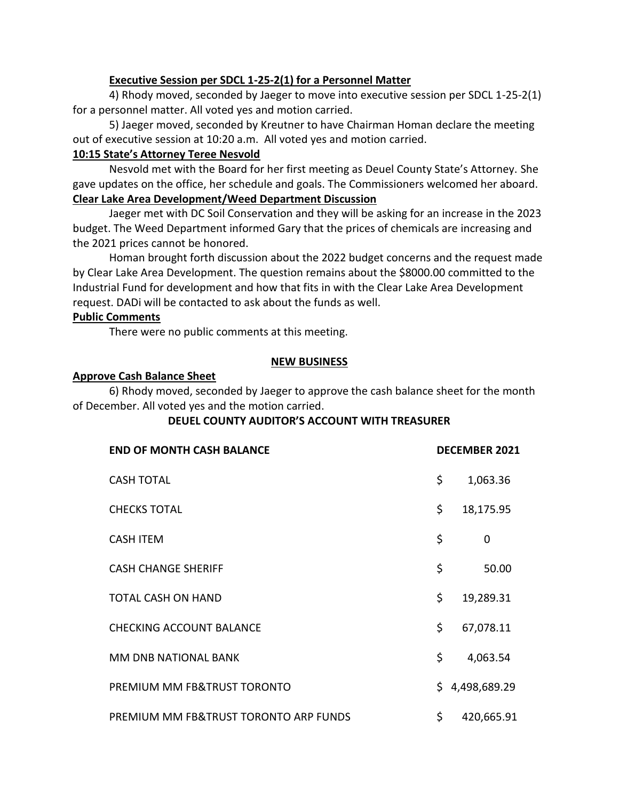# **Executive Session per SDCL 1-25-2(1) for a Personnel Matter**

4) Rhody moved, seconded by Jaeger to move into executive session per SDCL 1-25-2(1) for a personnel matter. All voted yes and motion carried.

5) Jaeger moved, seconded by Kreutner to have Chairman Homan declare the meeting out of executive session at 10:20 a.m. All voted yes and motion carried.

# **10:15 State's Attorney Teree Nesvold**

Nesvold met with the Board for her first meeting as Deuel County State's Attorney. She gave updates on the office, her schedule and goals. The Commissioners welcomed her aboard. **Clear Lake Area Development/Weed Department Discussion**

Jaeger met with DC Soil Conservation and they will be asking for an increase in the 2023 budget. The Weed Department informed Gary that the prices of chemicals are increasing and the 2021 prices cannot be honored.

Homan brought forth discussion about the 2022 budget concerns and the request made by Clear Lake Area Development. The question remains about the \$8000.00 committed to the Industrial Fund for development and how that fits in with the Clear Lake Area Development request. DADi will be contacted to ask about the funds as well.

# **Public Comments**

There were no public comments at this meeting.

# **NEW BUSINESS**

# **Approve Cash Balance Sheet**

6) Rhody moved, seconded by Jaeger to approve the cash balance sheet for the month of December. All voted yes and the motion carried.

# **DEUEL COUNTY AUDITOR'S ACCOUNT WITH TREASURER**

| <b>END OF MONTH CASH BALANCE</b>      |     | <b>DECEMBER 2021</b> |
|---------------------------------------|-----|----------------------|
| <b>CASH TOTAL</b>                     | \$  | 1,063.36             |
| <b>CHECKS TOTAL</b>                   | \$  | 18,175.95            |
| <b>CASH ITEM</b>                      | \$  | 0                    |
| <b>CASH CHANGE SHERIFF</b>            | \$  | 50.00                |
| TOTAL CASH ON HAND                    | \$  | 19,289.31            |
| <b>CHECKING ACCOUNT BALANCE</b>       | \$  | 67,078.11            |
| MM DNB NATIONAL BANK                  | \$  | 4,063.54             |
| PREMIUM MM FB&TRUST TORONTO           | \$. | 4,498,689.29         |
| PREMIUM MM FB&TRUST TORONTO ARP FUNDS | \$  | 420,665.91           |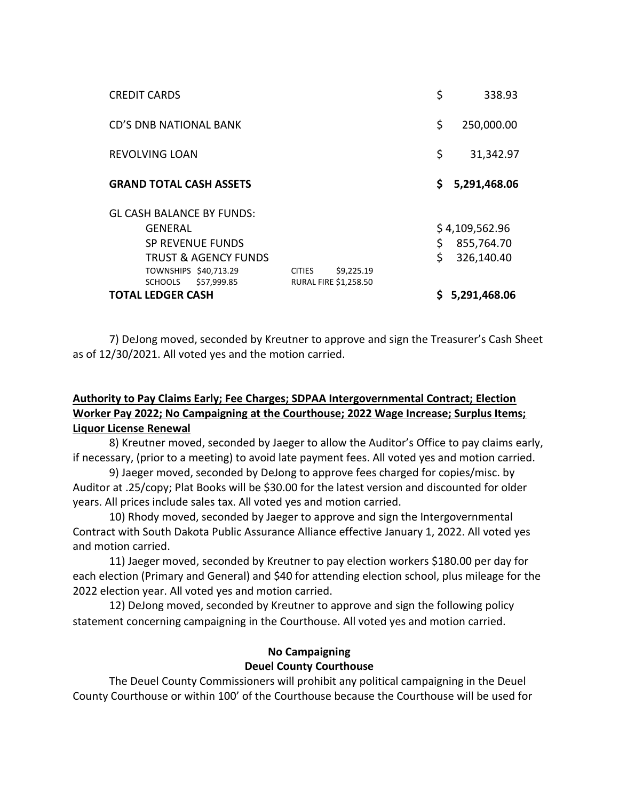| <b>CREDIT CARDS</b>                                                                                                                                          |               |                                            | \$  | 338.93                                     |
|--------------------------------------------------------------------------------------------------------------------------------------------------------------|---------------|--------------------------------------------|-----|--------------------------------------------|
| <b>CD'S DNB NATIONAL BANK</b>                                                                                                                                |               |                                            | \$  | 250,000.00                                 |
| <b>REVOLVING LOAN</b>                                                                                                                                        |               |                                            | \$  | 31,342.97                                  |
| <b>GRAND TOTAL CASH ASSETS</b>                                                                                                                               |               |                                            | \$. | 5,291,468.06                               |
| <b>GL CASH BALANCE BY FUNDS:</b><br>GENERAL<br>SP REVENUE FUNDS<br><b>TRUST &amp; AGENCY FUNDS</b><br>TOWNSHIPS \$40,713.29<br>\$57,999.85<br><b>SCHOOLS</b> | <b>CITIES</b> | \$9,225.19<br><b>RURAL FIRE \$1,258.50</b> | \$  | \$4,109,562.96<br>855,764.70<br>326,140.40 |
| <b>TOTAL LEDGER CASH</b>                                                                                                                                     |               |                                            |     | \$5,291,468.06                             |

7) DeJong moved, seconded by Kreutner to approve and sign the Treasurer's Cash Sheet as of 12/30/2021. All voted yes and the motion carried.

# **Authority to Pay Claims Early; Fee Charges; SDPAA Intergovernmental Contract; Election Worker Pay 2022; No Campaigning at the Courthouse; 2022 Wage Increase; Surplus Items; Liquor License Renewal**

8) Kreutner moved, seconded by Jaeger to allow the Auditor's Office to pay claims early, if necessary, (prior to a meeting) to avoid late payment fees. All voted yes and motion carried.

9) Jaeger moved, seconded by DeJong to approve fees charged for copies/misc. by Auditor at .25/copy; Plat Books will be \$30.00 for the latest version and discounted for older years. All prices include sales tax. All voted yes and motion carried.

10) Rhody moved, seconded by Jaeger to approve and sign the Intergovernmental Contract with South Dakota Public Assurance Alliance effective January 1, 2022. All voted yes and motion carried.

11) Jaeger moved, seconded by Kreutner to pay election workers \$180.00 per day for each election (Primary and General) and \$40 for attending election school, plus mileage for the 2022 election year. All voted yes and motion carried.

12) DeJong moved, seconded by Kreutner to approve and sign the following policy statement concerning campaigning in the Courthouse. All voted yes and motion carried.

# **No Campaigning Deuel County Courthouse**

The Deuel County Commissioners will prohibit any political campaigning in the Deuel County Courthouse or within 100' of the Courthouse because the Courthouse will be used for